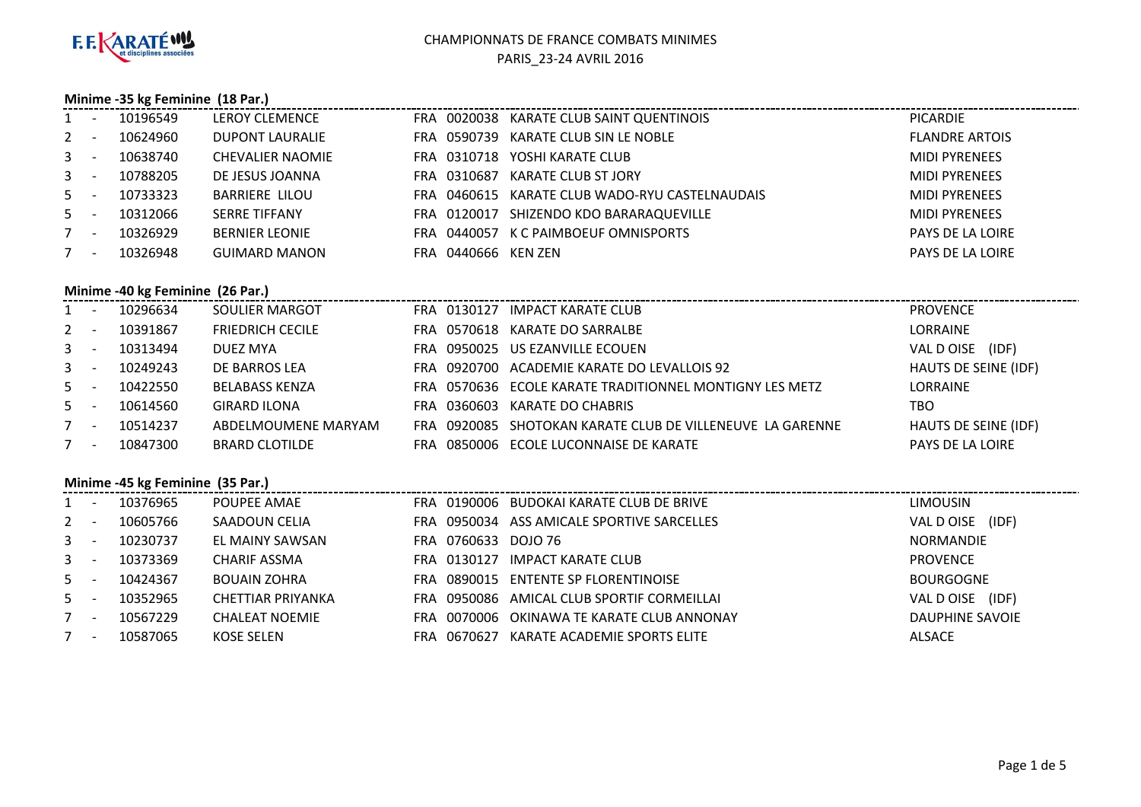

## **Minime -35 kg Feminine (18 Par.)**

| $1 -$   | 10196549 | <b>LEROY CLEMENCE</b>   |                     | FRA 0020038 KARATE CLUB SAINT QUENTINOIS       | <b>PICARDIE</b>       |
|---------|----------|-------------------------|---------------------|------------------------------------------------|-----------------------|
| $2 -$   | 10624960 | <b>DUPONT LAURALIE</b>  | FRA 0590739         | KARATE CLUB SIN LE NOBLE                       | <b>FLANDRE ARTOIS</b> |
| $3 - -$ | 10638740 | <b>CHEVALIER NAOMIE</b> |                     | FRA 0310718 YOSHI KARATE CLUB                  | <b>MIDI PYRENEES</b>  |
| $3 - 1$ | 10788205 | DE JESUS JOANNA         | FRA 0310687         | KARATE CLUB ST JORY                            | <b>MIDI PYRENEES</b>  |
| $5 -$   | 10733323 | <b>BARRIERE LILOU</b>   |                     | FRA 0460615 KARATE CLUB WADO-RYU CASTELNAUDAIS | <b>MIDI PYRENEES</b>  |
| $5 -$   | 10312066 | <b>SERRE TIFFANY</b>    |                     | FRA 0120017 SHIZENDO KDO BARARAQUEVILLE        | <b>MIDI PYRENEES</b>  |
| $7 -$   | 10326929 | <b>BERNIER LEONIE</b>   | FRA 0440057         | K C PAIMBOEUF OMNISPORTS                       | PAYS DE LA LOIRE      |
| $7 -$   | 10326948 | <b>GUIMARD MANON</b>    | FRA 0440666 KEN ZEN |                                                | PAYS DE LA LOIRE      |
|         |          |                         |                     |                                                |                       |

# **Minime -40 kg Feminine (26 Par.)**

| $1 -$   | 10296634 | SOULIER MARGOT          |  | FRA 0130127 IMPACT KARATE CLUB                            | <b>PROVENCE</b>      |
|---------|----------|-------------------------|--|-----------------------------------------------------------|----------------------|
| $2 -$   | 10391867 | <b>FRIEDRICH CECILE</b> |  | FRA 0570618 KARATE DO SARRALBE                            | <b>LORRAINE</b>      |
| $3 - 1$ | 10313494 | DUEZ MYA                |  | FRA 0950025 US EZANVILLE ECOUEN                           | VAL D OISE<br>(IDF)  |
| $3 - -$ | 10249243 | DE BARROS LEA           |  | FRA 0920700 ACADEMIE KARATE DO LEVALLOIS 92               | HAUTS DE SEINE (IDF) |
| $5 -$   | 10422550 | BELABASS KENZA          |  | FRA 0570636 ECOLE KARATE TRADITIONNEL MONTIGNY LES METZ   | <b>LORRAINE</b>      |
| $5 -$   | 10614560 | <b>GIRARD ILONA</b>     |  | FRA 0360603 KARATE DO CHABRIS                             | TBO                  |
| $7 -$   | 10514237 | ABDELMOUMENE MARYAM     |  | FRA 0920085 SHOTOKAN KARATE CLUB DE VILLENEUVE LA GARENNE | HAUTS DE SEINE (IDF) |
| $7 -$   | 10847300 | <b>BRARD CLOTILDE</b>   |  | FRA 0850006 ECOLE LUCONNAISE DE KARATE                    | PAYS DE LA LOIRE     |

#### **Minime -45 kg Feminine (35 Par.)**

| $1 -$   |                          | 10376965 | POUPEE AMAE           |                     | FRA 0190006 BUDOKAI KARATE CLUB DE BRIVE   | <b>LIMOUSIN</b>     |
|---------|--------------------------|----------|-----------------------|---------------------|--------------------------------------------|---------------------|
| $2 -$   |                          | 10605766 | SAADOUN CELIA         |                     | FRA 0950034 ASS AMICALE SPORTIVE SARCELLES | (IDF)<br>VAL D OISE |
| $3 - 5$ |                          | 10230737 | EL MAINY SAWSAN       | FRA 0760633 DOJO 76 |                                            | <b>NORMANDIE</b>    |
| $3 - 5$ |                          | 10373369 | CHARIF ASSMA          | FRA 0130127         | IMPACT KARATE CLUB                         | <b>PROVENCE</b>     |
| $5 -$   |                          | 10424367 | <b>BOUAIN ZOHRA</b>   |                     | FRA 0890015 ENTENTE SP FLORENTINOISE       | <b>BOURGOGNE</b>    |
| $5 -$   |                          | 10352965 | CHETTIAR PRIYANKA     |                     | FRA 0950086 AMICAL CLUB SPORTIF CORMEILLAI | VAL DOISE (IDF)     |
|         | $\overline{\phantom{0}}$ | 10567229 | <b>CHALEAT NOEMIE</b> |                     | FRA 0070006 OKINAWA TE KARATE CLUB ANNONAY | DAUPHINE SAVOIE     |
| $7 -$   |                          | 10587065 | KOSE SELEN            | 0670627<br>FRA      | KARATE ACADEMIE SPORTS ELITE               | <b>ALSACE</b>       |
|         |                          |          |                       |                     |                                            |                     |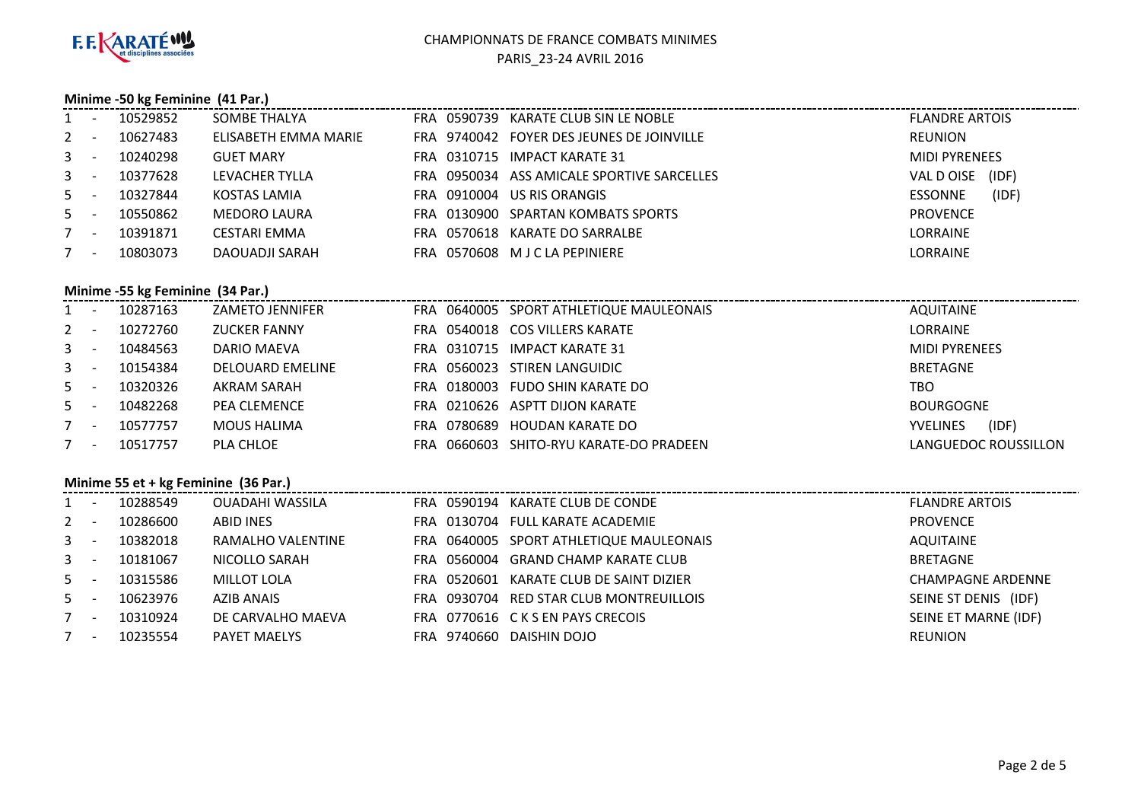

#### **Minime -50 kg Feminine (41 Par.)**

| $1 -$   | 10529852 | SOMBE THALYA         |             | FRA 0590739 KARATE CLUB SIN LE NOBLE       | <b>FLANDRE ARTOIS</b>   |
|---------|----------|----------------------|-------------|--------------------------------------------|-------------------------|
| $2 -$   | 10627483 | ELISABETH EMMA MARIE | FRA 9740042 | <b>FOYER DES JEUNES DE JOINVILLE</b>       | <b>REUNION</b>          |
| $3 - 1$ | 10240298 | <b>GUET MARY</b>     |             | FRA 0310715 IMPACT KARATE 31               | <b>MIDI PYRENEES</b>    |
| $3 - 1$ | 10377628 | LEVACHER TYLLA       |             | FRA 0950034 ASS AMICALE SPORTIVE SARCELLES | (IDF)<br>VAL DOISE      |
| $5 -$   | 10327844 | KOSTAS LAMIA         | FRA 0910004 | US RIS ORANGIS                             | (IDF)<br><b>ESSONNE</b> |
| $5 -$   | 10550862 | MEDORO LAURA         |             | FRA 0130900 SPARTAN KOMBATS SPORTS         | <b>PROVENCE</b>         |
| $7 -$   | 10391871 | <b>CESTARI EMMA</b>  | FRA 0570618 | KARATE DO SARRALBE                         | LORRAINE                |
| $7 -$   | 10803073 | DAOUADJI SARAH       |             | FRA 0570608 MJCLA PEPINIERE                | LORRAINE                |
|         |          |                      |             |                                            |                         |

# **Minime -55 kg Feminine (34 Par.)**

| 10287163<br>AQUITAINE<br>FRA 0640005 SPORT ATHLETIQUE MAULEONAIS<br>ZAMETO JENNIFER<br>$1 -$            |                      |
|---------------------------------------------------------------------------------------------------------|----------------------|
| <b>LORRAINE</b><br>$2 -$<br>10272760<br><b>ZUCKER FANNY</b><br>$-0540018$ $-$ COS VILLERS KARATE<br>FRA |                      |
| $3 -$<br>FRA 0310715 IMPACT KARATE 31<br><b>MIDI PYRENEES</b><br>10484563<br>DARIO MAEVA                |                      |
| $3 - 1$<br>FRA 0560023 STIREN LANGUIDIC<br><b>BRETAGNE</b><br>10154384<br><b>DELOUARD EMELINE</b>       |                      |
| $5 -$<br>10320326<br>FRA 0180003 FUDO SHIN KARATE DO<br>AKRAM SARAH<br>TBO                              |                      |
| $5 -$<br>10482268<br>FRA 0210626 ASPTT DIJON KARATE<br><b>BOURGOGNE</b><br><b>PEA CLEMENCE</b>          |                      |
| $7 -$<br>FRA 0780689 HOUDAN KARATE DO<br>10577757<br><b>MOUS HALIMA</b><br><b>YVELINES</b>              | (IDF)                |
| PLA CHLOE<br>0660603 SHITO-RYU KARATE-DO PRADEEN<br>10517757<br>FRA.<br>$7 -$                           | LANGUEDOC ROUSSILLON |

#### **Minime 55 et + kg Feminine (36 Par.)**

|       | $\cdots$ $\cdots$ $\cdots$ $\cdots$ $\cdots$ $\cdots$ $\cdots$ $\cdots$ $\cdots$ $\cdots$ $\cdots$ $\cdots$ |          |                     |  |                                         |                          |  |  |  |  |
|-------|-------------------------------------------------------------------------------------------------------------|----------|---------------------|--|-----------------------------------------|--------------------------|--|--|--|--|
| $1 -$ |                                                                                                             | 10288549 | OUADAHI WASSILA     |  | FRA 0590194 KARATE CLUB DE CONDE        | <b>FLANDRE ARTOIS</b>    |  |  |  |  |
| $2 -$ |                                                                                                             | 10286600 | ABID INES           |  | FRA 0130704 FULL KARATE ACADEMIE        | <b>PROVENCE</b>          |  |  |  |  |
| $3 -$ |                                                                                                             | 10382018 | RAMALHO VALENTINE   |  | FRA 0640005 SPORT ATHLETIQUE MAULEONAIS | AQUITAINE                |  |  |  |  |
| $3 -$ |                                                                                                             | 10181067 | NICOLLO SARAH       |  | FRA 0560004 GRAND CHAMP KARATE CLUB     | <b>BRETAGNE</b>          |  |  |  |  |
| $5 -$ |                                                                                                             | 10315586 | <b>MILLOT LOLA</b>  |  | FRA 0520601 KARATE CLUB DE SAINT DIZIER | <b>CHAMPAGNE ARDENNE</b> |  |  |  |  |
| $5 -$ |                                                                                                             | 10623976 | AZIB ANAIS          |  | FRA 0930704 RED STAR CLUB MONTREUILLOIS | SEINE ST DENIS (IDF)     |  |  |  |  |
| $7 -$ |                                                                                                             | 10310924 | DE CARVALHO MAEVA   |  | FRA 0770616 CKSEN PAYS CRECOIS          | SEINE ET MARNE (IDF)     |  |  |  |  |
| $7 -$ |                                                                                                             | 10235554 | <b>PAYET MAELYS</b> |  | FRA 9740660 DAISHIN DOJO                | <b>REUNION</b>           |  |  |  |  |
|       |                                                                                                             |          |                     |  |                                         |                          |  |  |  |  |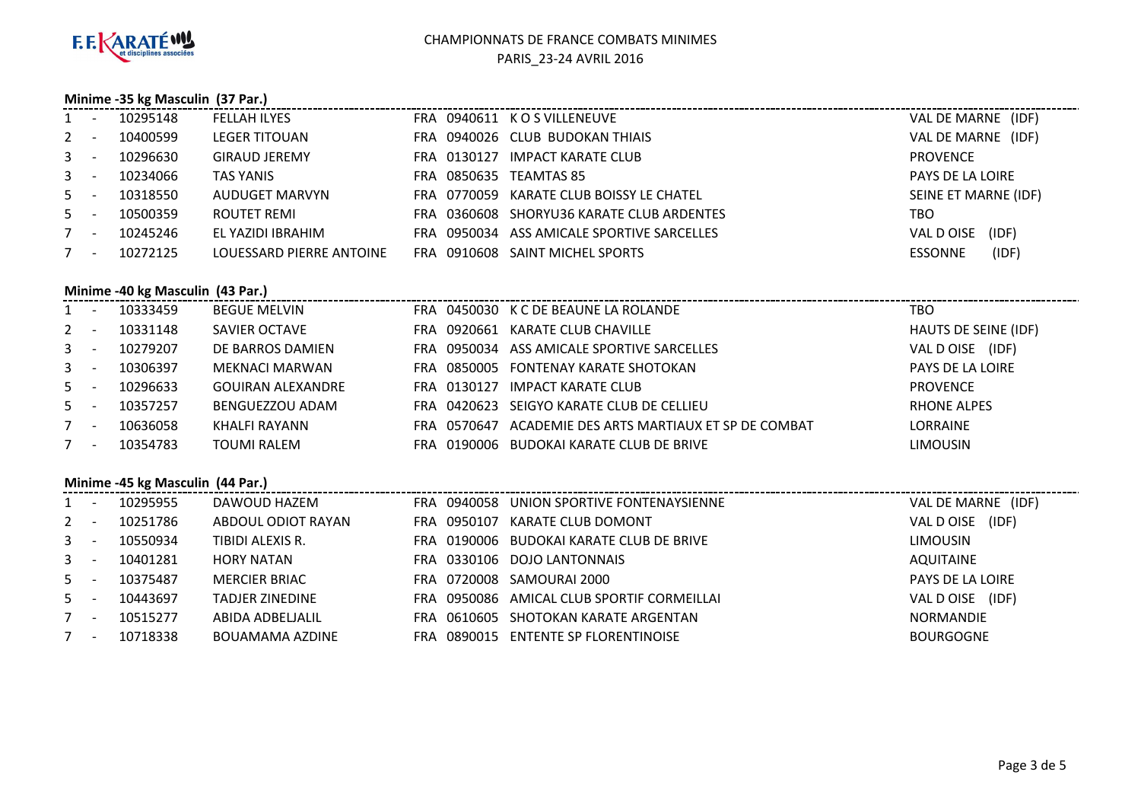

# **Minime -35 kg Masculin (37 Par.)**

| $1 -$   | 10295148 | <b>FELLAH ILYES</b>      |                        | FRA 0940611 KOS VILLENEUVE                 | VAL DE MARNE (IDF)      |
|---------|----------|--------------------------|------------------------|--------------------------------------------|-------------------------|
| $2 -$   | 10400599 | LEGER TITOUAN            |                        | FRA 0940026 CLUB BUDOKAN THIAIS            | VAL DE MARNE (IDF)      |
| $3 - -$ | 10296630 | <b>GIRAUD JEREMY</b>     |                        | FRA 0130127 IMPACT KARATE CLUB             | <b>PROVENCE</b>         |
| $3 - -$ | 10234066 | TAS YANIS                | FRA 0850635 TEAMTAS 85 |                                            | PAYS DE LA LOIRE        |
| $5 -$   | 10318550 | AUDUGET MARVYN           |                        | FRA 0770059 KARATE CLUB BOISSY LE CHATEL   | SEINE ET MARNE (IDF)    |
| $5 -$   | 10500359 | ROUTET REMI              |                        | FRA 0360608 SHORYU36 KARATE CLUB ARDENTES  | тво                     |
| $7 -$   | 10245246 | EL YAZIDI IBRAHIM        |                        | FRA 0950034 ASS AMICALE SPORTIVE SARCELLES | (IDF)<br>VAL DOISE      |
| $7 -$   | 10272125 | LOUESSARD PIERRE ANTOINE |                        | FRA 0910608 SAINT MICHEL SPORTS            | (IDF)<br><b>ESSONNE</b> |
|         |          |                          |                        |                                            |                         |

# **Minime -40 kg Masculin (43 Par.)**

| $1 -$   |                          | 10333459 | <b>BEGUE MELVIN</b>      |             | FRA 0450030 K C DE BEAUNE LA ROLANDE       | тво                  |
|---------|--------------------------|----------|--------------------------|-------------|--------------------------------------------|----------------------|
| $2 -$   |                          | 10331148 | SAVIER OCTAVE            |             | FRA 0920661 KARATE CLUB CHAVILLE           | HAUTS DE SEINE (IDF) |
| $3 - -$ |                          | 10279207 | DE BARROS DAMIEN         |             | FRA 0950034 ASS AMICALE SPORTIVE SARCELLES | VAL D OISE (IDF)     |
| $3 - 1$ |                          | 10306397 | MEKNACI MARWAN           |             | FRA 0850005 FONTENAY KARATE SHOTOKAN       | PAYS DE LA LOIRE     |
| $5 -$   |                          | 10296633 | <b>GOUIRAN ALEXANDRE</b> |             | FRA 0130127 IMPACT KARATE CLUB             | <b>PROVENCE</b>      |
| $5 -$   |                          | 10357257 | BENGUEZZOU ADAM          |             | FRA 0420623 SEIGYO KARATE CLUB DE CELLIEU  | <b>RHONE ALPES</b>   |
| 7       | $\overline{\phantom{0}}$ | 10636058 | KHALFI RAYANN            | FRA 0570647 | ACADEMIE DES ARTS MARTIAUX ET SP DE COMBAT | LORRAINE             |
|         | $\overline{\phantom{0}}$ | 10354783 | <b>TOUMI RALEM</b>       |             | FRA 0190006 BUDOKAI KARATE CLUB DE BRIVE   | <b>LIMOUSIN</b>      |
|         |                          |          |                          |             |                                            |                      |

#### **Minime -45 kg Masculin (44 Par.)**

| $1 -$ | 10295955 | DAWOUD HAZEM           | FRA 0940058 UNION SPORTIVE FONTENAYSIENNE  | VAL DE MARNE (IDF)  |
|-------|----------|------------------------|--------------------------------------------|---------------------|
| $2 -$ | 10251786 | ABDOUL ODIOT RAYAN     | FRA 0950107 KARATE CLUB DOMONT             | (IDF)<br>VAL D OISE |
| $3 -$ | 10550934 | TIBIDI ALEXIS R.       | FRA 0190006 BUDOKAI KARATE CLUB DE BRIVE   | <b>LIMOUSIN</b>     |
| $3 -$ | 10401281 | HORY NATAN             | FRA 0330106 DOJO LANTONNAIS                | AQUITAINE           |
| $5 -$ | 10375487 | <b>MERCIER BRIAC</b>   | FRA 0720008 SAMOURAI 2000                  | PAYS DE LA LOIRE    |
| $5 -$ | 10443697 | <b>TADJER ZINEDINE</b> | FRA 0950086 AMICAL CLUB SPORTIF CORMEILLAI | VAL D OISE (IDF)    |
| $7 -$ | 10515277 | ABIDA ADBELJALIL       | FRA 0610605 SHOTOKAN KARATE ARGENTAN       | NORMANDIE           |
| $7 -$ | 10718338 | <b>BOUAMAMA AZDINE</b> | FRA 0890015 ENTENTE SP FLORENTINOISE       | <b>BOURGOGNE</b>    |

÷÷.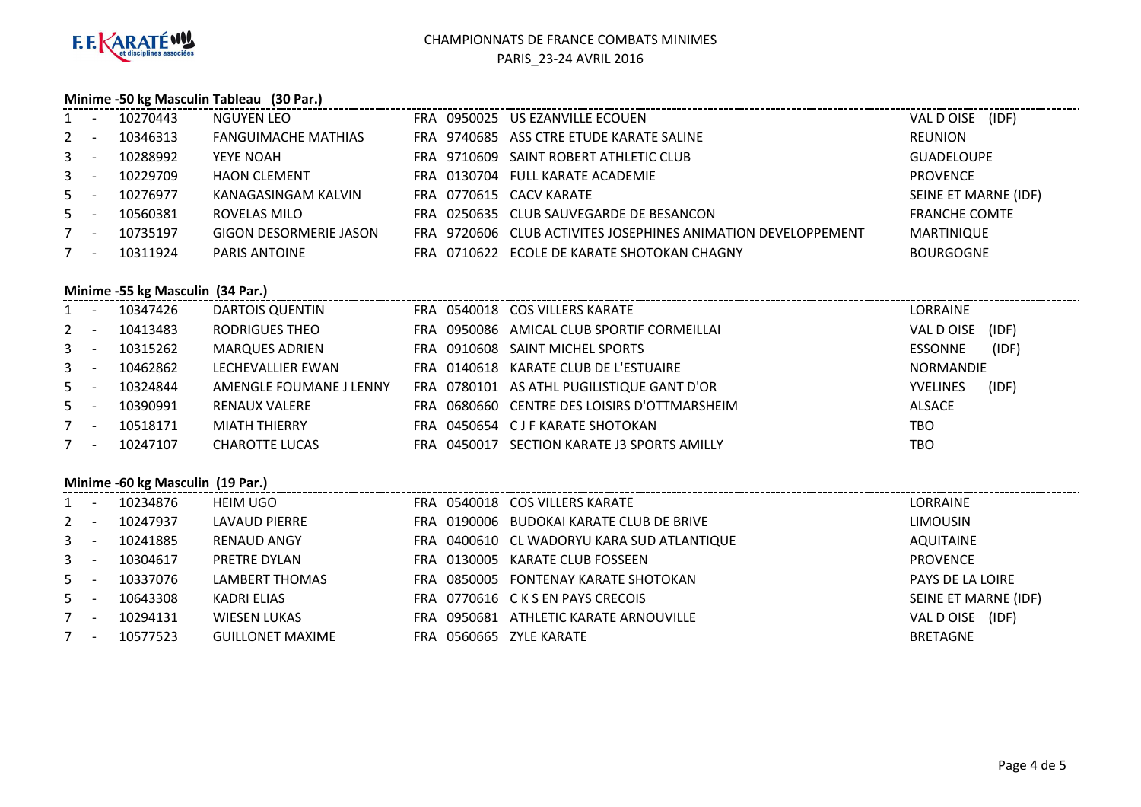

#### **Minime -50 kg Masculin Tableau (30 Par.)**

| $1 -$   | 10270443 | NGUYEN LEO                    |  | FRA 0950025 US EZANVILLE ECOUEN                               | VAL DOISE (IDF)      |
|---------|----------|-------------------------------|--|---------------------------------------------------------------|----------------------|
| $2 -$   | 10346313 | <b>FANGUIMACHE MATHIAS</b>    |  | FRA 9740685 ASS CTRE ETUDE KARATE SALINE                      | REUNION              |
| $3 - 1$ | 10288992 | YEYE NOAH                     |  | FRA 9710609 SAINT ROBERT ATHLETIC CLUB                        | <b>GUADELOUPE</b>    |
| $3 - -$ | 10229709 | <b>HAON CLEMENT</b>           |  | FRA 0130704 FULL KARATE ACADEMIE                              | <b>PROVENCE</b>      |
| $5 -$   | 10276977 | KANAGASINGAM KALVIN           |  | FRA 0770615 CACV KARATE                                       | SEINE ET MARNE (IDF) |
| $5 -$   | 10560381 | ROVELAS MILO                  |  | FRA 0250635 CLUB SAUVEGARDE DE BESANCON                       | <b>FRANCHE COMTE</b> |
| $7 -$   | 10735197 | <b>GIGON DESORMERIE JASON</b> |  | FRA 9720606 CLUB ACTIVITES JOSEPHINES ANIMATION DEVELOPPEMENT | <b>MARTINIQUE</b>    |
| $7 -$   | 10311924 | <b>PARIS ANTOINE</b>          |  | FRA 0710622 ECOLE DE KARATE SHOTOKAN CHAGNY                   | <b>BOURGOGNE</b>     |
|         |          |                               |  |                                                               |                      |

# **Minime -55 kg Masculin (34 Par.)**

| $1 -$   | 10347426 | DARTOIS QUENTIN         |  | FRA 0540018 COS VILLERS KARATE               | <b>LORRAINE</b> |       |
|---------|----------|-------------------------|--|----------------------------------------------|-----------------|-------|
| $2 -$   | 10413483 | <b>RODRIGUES THEO</b>   |  | FRA 0950086 AMICAL CLUB SPORTIF CORMEILLAI   | VAL D OISE      | (IDF) |
| $3 - -$ | 10315262 | MARQUES ADRIEN          |  | FRA 0910608 SAINT MICHEL SPORTS              | ESSONNE         | (IDF) |
| $3 - -$ | 10462862 | LECHEVALLIER EWAN       |  | FRA 0140618 KARATE CLUB DE L'ESTUAIRE        | NORMANDIE       |       |
| $5 -$   | 10324844 | AMENGLE FOUMANE J LENNY |  | FRA 0780101 AS ATHL PUGILISTIQUE GANT D'OR   | <b>YVELINES</b> | (IDF) |
| $5 -$   | 10390991 | <b>RENAUX VALERE</b>    |  | FRA 0680660 CENTRE DES LOISIRS D'OTTMARSHEIM | ALSACE          |       |
| $7 -$   | 10518171 | <b>MIATH THIERRY</b>    |  | FRA 0450654 CJF KARATE SHOTOKAN              | TBO             |       |
| $7 -$   | 10247107 | <b>CHAROTTE LUCAS</b>   |  | FRA 0450017 SECTION KARATE J3 SPORTS AMILLY  | <b>TBO</b>      |       |

#### **Minime -60 kg Masculin (19 Par.)**

| $1 -$ |                          | 10234876 | HEIM UGO                |                         | FRA 0540018 COS VILLERS KARATE             | LORRAINE             |
|-------|--------------------------|----------|-------------------------|-------------------------|--------------------------------------------|----------------------|
| $2 -$ |                          | 10247937 | LAVAUD PIERRE           |                         | FRA 0190006 BUDOKAI KARATE CLUB DE BRIVE   | <b>LIMOUSIN</b>      |
| $3 -$ |                          | 10241885 | <b>RENAUD ANGY</b>      |                         | FRA 0400610 CL WADORYU KARA SUD ATLANTIQUE | AQUITAINE            |
| $3 -$ |                          | 10304617 | <b>PRETRE DYLAN</b>     |                         | FRA 0130005 KARATE CLUB FOSSEEN            | <b>PROVENCE</b>      |
| $5 -$ |                          | 10337076 | LAMBERT THOMAS          | FRA                     | 0850005 FONTENAY KARATE SHOTOKAN           | PAYS DE LA LOIRE     |
| $5 -$ |                          | 10643308 | KADRI ELIAS             |                         | FRA 0770616 CKS EN PAYS CRECOIS            | SEINE ET MARNE (IDF) |
|       | $\overline{\phantom{a}}$ | 10294131 | WIESEN LUKAS            | FRA                     | 0950681 ATHLETIC KARATE ARNOUVILLE         | (IDF)<br>VAL D OISE  |
|       | $\overline{\phantom{a}}$ | 10577523 | <b>GUILLONET MAXIME</b> | FRA 0560665 ZYLE KARATE |                                            | <b>BRETAGNE</b>      |